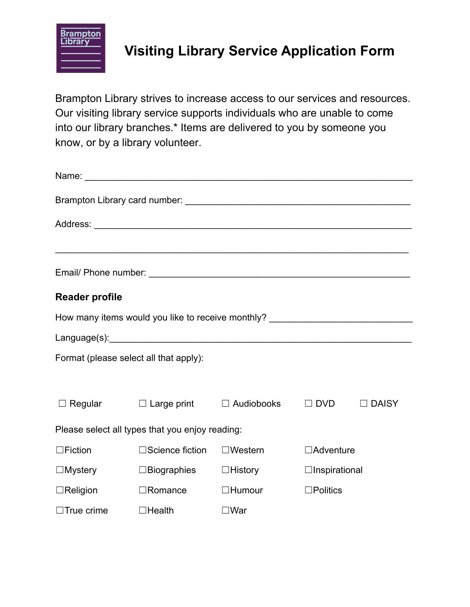

## **Visiting Library Service Application Form**

Brampton Library strives to increase access to our services and resources. Our visiting library service supports individuals who are unable to come into our library branches.\* Items are delivered to you by someone you know, or by a library volunteer.

| <b>Reader profile</b>                             |                                                     |                   |                      |              |  |
|---------------------------------------------------|-----------------------------------------------------|-------------------|----------------------|--------------|--|
| How many items would you like to receive monthly? |                                                     |                   |                      |              |  |
|                                                   |                                                     |                   |                      |              |  |
| Format (please select all that apply):            |                                                     |                   |                      |              |  |
|                                                   |                                                     |                   |                      |              |  |
|                                                   | $\Box$ Regular $\Box$ Large print $\Box$ Audiobooks |                   | $\Box$ DVD           | $\Box$ DAISY |  |
| Please select all types that you enjoy reading:   |                                                     |                   |                      |              |  |
| $\Box$ Fiction                                    | $\Box$ Science fiction                              | $\square$ Western | $\Box$ Adventure     |              |  |
| $\Box$ Mystery                                    | $\Box$ Biographies                                  | $\Box$ History    | $\Box$ Inspirational |              |  |
| $\Box$ Religion                                   | $\Box$ Romance                                      | $\Box$ Humour     | $\square$ Politics   |              |  |
| $\Box$ True crime                                 | $\Box$ Health                                       | $\square$ War     |                      |              |  |